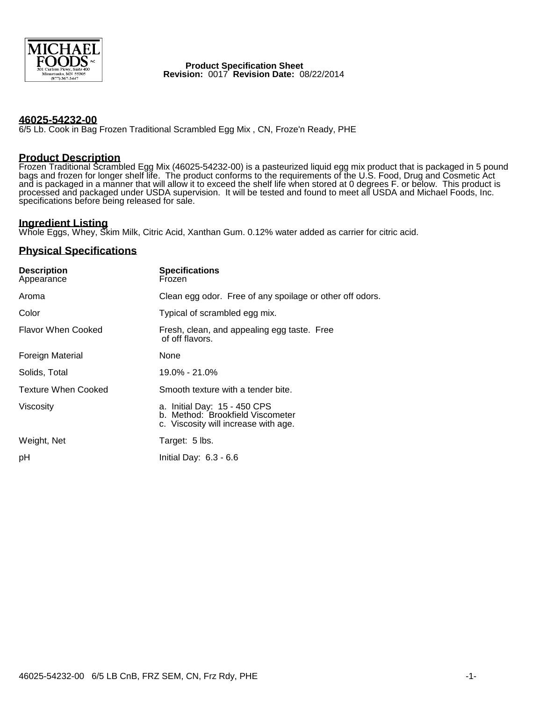

#### **Product Specification Sheet Revision:** 0017 **Revision Date:** 08/22/2014

### **46025-54232-00**

6/5 Lb. Cook in Bag Frozen Traditional Scrambled Egg Mix , CN, Froze'n Ready, PHE

## **Product Description**

Frozen Traditional Scrambled Egg Mix (46025-54232-00) is a pasteurized liquid egg mix product that is packaged in 5 pound bags and frozen for longer shelf life. The product conforms to the requirements of the U.S. Food, Drug and Cosmetic Act and is packaged in a manner that will allow it to exceed the shelf life when stored at 0 degrees F. or below. This product is processed and packaged under USDA supervision. It will be tested and found to meet all USDA and Michael Foods, Inc. specifications before being released for sale.

# **Ingredient Listing**

Whole Eggs, Whey, Skim Milk, Citric Acid, Xanthan Gum. 0.12% water added as carrier for citric acid.

## **Physical Specifications**

| <b>Description</b><br>Appearance | <b>Specifications</b><br>Frozen                                                                          |
|----------------------------------|----------------------------------------------------------------------------------------------------------|
| Aroma                            | Clean egg odor. Free of any spoilage or other off odors.                                                 |
| Color                            | Typical of scrambled egg mix.                                                                            |
| Flavor When Cooked               | Fresh, clean, and appealing egg taste. Free<br>of off flavors.                                           |
| Foreign Material                 | None                                                                                                     |
| Solids, Total                    | 19.0% - 21.0%                                                                                            |
| <b>Texture When Cooked</b>       | Smooth texture with a tender bite.                                                                       |
| <b>Viscosity</b>                 | a. Initial Day: 15 - 450 CPS<br>b. Method: Brookfield Viscometer<br>c. Viscosity will increase with age. |
| Weight, Net                      | Target: 5 lbs.                                                                                           |
| рH                               | Initial Day: $6.3 - 6.6$                                                                                 |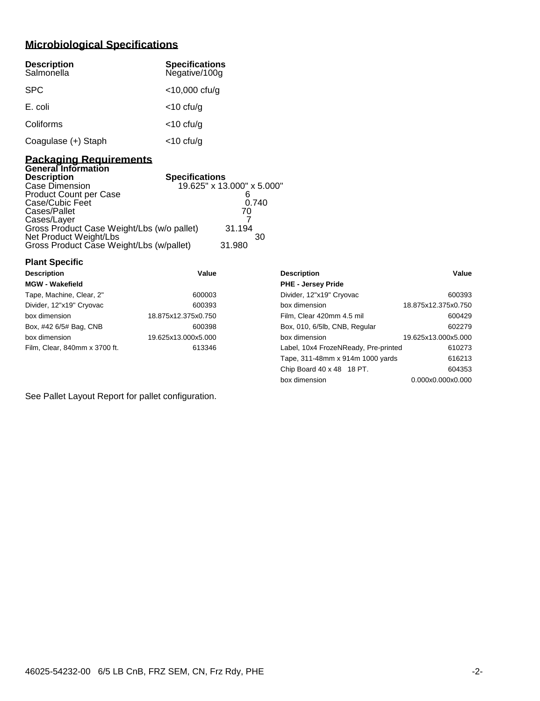# **Microbiological Specifications**

| <b>Description</b><br>Salmonella | <b>Specifications</b><br>Negative/100g |
|----------------------------------|----------------------------------------|
| <b>SPC</b>                       | $<$ 10,000 cfu/g                       |
| E. coli                          | $<$ 10 cfu/g                           |
| Coliforms                        | $<$ 10 cfu/g                           |
| Coagulase (+) Staph              | $<$ 10 cfu/g                           |

#### **Packaging Requirements General Information**

**Plant Specific**

| ochciai inioniauoni                        |                            |
|--------------------------------------------|----------------------------|
| Description                                | <b>Specifications</b>      |
| Case Dimension                             | 19.625" x 13.000" x 5.000" |
| Product Count per Case                     |                            |
| Case/Cubic Feet                            | 0.740                      |
| Cases/Pallet                               | 70                         |
| Cases/Layer                                |                            |
| Gross Product Case Weight/Lbs (w/o pallet) | 31.194                     |
| Net Product Weight/Lbs                     | 30                         |
| Gross Product Case Weight/Lbs (w/pallet)   | 31.980                     |
|                                            |                            |

| <b>Description</b>            | Value               | <b>Description</b>                   | Value               |
|-------------------------------|---------------------|--------------------------------------|---------------------|
| <b>MGW - Wakefield</b>        |                     | <b>PHE - Jersey Pride</b>            |                     |
| Tape, Machine, Clear, 2"      | 600003              | Divider, 12"x19" Cryovac             | 600393              |
| Divider, 12"x19" Cryovac      | 600393              | box dimension                        | 18.875x12.375x0.750 |
| box dimension                 | 18.875x12.375x0.750 | Film, Clear 420mm 4.5 mil            | 600429              |
| Box, #42 6/5# Bag, CNB        | 600398              | Box, 010, 6/5lb, CNB, Regular        | 602279              |
| box dimension                 | 19.625x13.000x5.000 | box dimension                        | 19.625x13.000x5.000 |
| Film, Clear, 840mm x 3700 ft. | 613346              | Label, 10x4 FrozeNReady, Pre-printed | 610273              |
|                               |                     | Tape, 311-48mm x 914m 1000 yards     | 616213              |
|                               |                     | Chip Board 40 x 48 18 PT.            | 604353              |

box dimension 0.000x0.000x0.000

See Pallet Layout Report for pallet configuration.